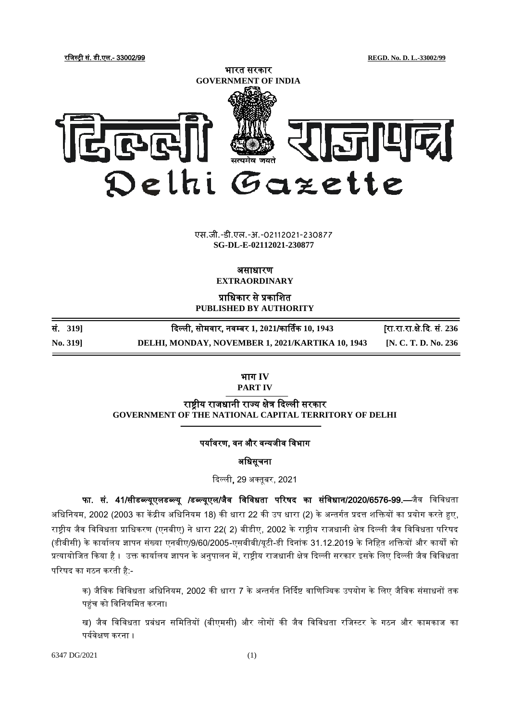रजिस्ट्री सं. डी.एल.- 33002/99 **REGD. No. D. L.-33002/99**



**xxxGIDHxxx** एस.जी.-डी.एल.-अ.-02112021-230877 **xxxGIDExxx SG-DL-E-02112021-230877**

असाधारण

**EXTRAORDINARY**

प्राजधकार से प्रकाजित **PUBLISHED BY AUTHORITY**

| <b>No. 3191</b> | DELHI, MONDAY, NOVEMBER 1, 2021/KARTIKA 10, 1943 | [N. C. T. D. No. 236]      |
|-----------------|--------------------------------------------------|----------------------------|
| सं. 319]        | दिल्ली, सोमवार, नवम्बर 1, 2021/कार्तिक 10, 1943  | [रा.रा.रा.क्षे.दि. सं. 236 |

भाग **IV PART IV**

राष्ट्रीय राजधानी राज्य क्षेत्र दिल्ली सरकार **GOVERNMENT OF THE NATIONAL CAPITAL TERRITORY OF DELHI**

## पर्यावरण, वन और वन्यजीव विभाग

अजधसूचना

दिल्ली, 29 अक्तूबर, 2021

फा. सं. 41/सीडब्ल्यूएलडब्ल्यू /डब्ल्यूएल/जैव विविधता परिषद का संविधान/2020/6576-99.—जैव विविधता अधिनियम, 2002 (2003 का केंद्रीय अधिनियम 18) की धारा 22 की उप धारा (2) के अन्तर्गत प्रदत्त शक्तियों का प्रयोग करते हुए, राष्ट्रीय जैव विविधता प्राधिकरण (एनबीए) ने धारा 22( 2) बीडीए, 2002 के राष्ट्रीय राजधानी क्षेत्र दिल्ली जैव विविधता परिषद (डीबीसी) के कार्यालय ज्ञापन संख्या एनबीए/9/60/2005-एसबीबी/यटी-डी दिनांक 31.12.2019 के निहित शक्तियों और कार्यों को प्रत्यायोजित किया है । उक्त कार्यालय ज्ञापन के अनुपालन में, राष्ट्रीय राजधानी क्षेत्र दिल्ली सरकार इसके लिए दिल्ली जैव विविधता परिषद का गठन करती है:-

क) जैविक विविधता अधिनियम, 2002 की धारा 7 के अन्तर्गत निर्दिष्ट वाणिज्यिक उपयोग के लिए जैविक संसाधनों तक पहुंच को विनियमित करना।

ख) जैव विविधता प्रबंधन समितियों (बीएमसी) और लोगों की जैव विविधता रजिस्टर के गठन और कामकाज का पयावेक्षण करना ।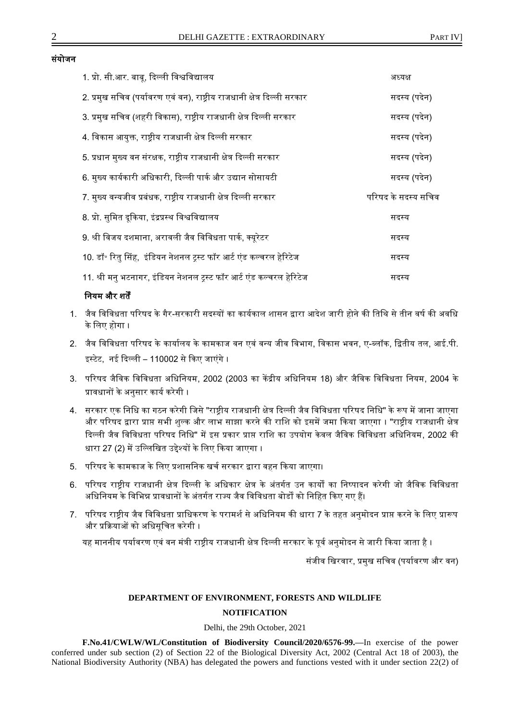### संयोजन

| 1. प्रो. सी.आर. बाबू, दिल्ली विश्वविद्यालय                               | अध्यक्ष             |
|--------------------------------------------------------------------------|---------------------|
| 2. प्रमुख सचिव (पर्यावरण एवं वन), राष्ट्रीय राजधानी क्षेत्र दिल्ली सरकार | सदस्य (पदेन)        |
| 3. प्रमुख सचिव (शहरी विकास), राष्ट्रीय राजधानी क्षेत्र दिल्ली सरकार      | सदस्य (पदेन)        |
| 4. विकास आयुक्त, राष्ट्रीय राजधानी क्षेत्र दिल्ली सरकार                  | सदस्य (पदेन)        |
| 5. प्रधान मुख्य वन संरक्षक, राष्ट्रीय राजधानी क्षेत्र दिल्ली सरकार       | सदस्य (पदेन)        |
| 6. मुख्य कार्यकारी अधिकारी, दिल्ली पार्क और उद्यान सोसायटी               | सदस्य (पदेन)        |
| 7. मुख्य वन्यजीव प्रबंधक, राष्ट्रीय राजधानी क्षेत्र दिल्ली सरकार         | परिषद के सदस्य सचिव |
| 8. प्रो. सुमित दूकिया, इंद्रप्रस्थ विश्वविद्यालय                         | सदस्य               |
| 9. श्री विजय दशमाना, अरावली जैव विविधता पार्क, क्यूरेटर                  | सदस्य               |
| 10. डॉ॰ रितु सिंह,  इंडियन नेशनल ट्रस्ट फॉर आर्ट एंड कल्चरल हेरिटेज      | सदस्य               |
| 11. श्री मनु भटनागर, इंडियन नेशनल ट्रस्ट फॉर आर्ट एंड कल्चरल हेरिटेज     | सदस्य               |
|                                                                          |                     |

# नियम और शर्तें

- 1. जैव विविधता परिषद के गैर-सरकारी सदस्यों का कार्यकाल शासन द्वारा आदेश जारी होने की तिथि से तीन वर्ष की अवधि के लिए होगा ।
- 2. जैव विविधता परिषद के कार्यालय के कामकाज वन एवं वन्य जीव विभाग, विकास भवन, ए-ब्लॉक, द्वितीय तल, आई.पी. इस्ट्टेट, नई दिल्ली – 110002 से दकए िाएंगे ।
- 3. परिषद जैविक विविधता अधिनियम, 2002 (2003 का केंद्रीय अधिनियम 18) और जैविक विविधता नियम, 2004 के प्रावधानों के अनसार कार्य करेगी ।
- 4. सरकार एक निधि का गठन करेगी जिसे "राष्ट्रीय राजधानी क्षेत्र दिल्ली जैव विविधता परिषद निधि" के रूप में जाना जाएगा और परिषद द्वारा प्राप्त सभी शुल्क और लाभ साझा करने की राशि को इसमें जमा किया जाएगा । "राष्ट्रीय राजधानी क्षेत्र दिल्ली जैव विविधता परिषद निधि" में इस प्रकार प्राप्त राशि का उपयोग केवल जैविक विविधता अधिनियम, 2002 की धारा 27 (2) में उल्लिखित उद्देश्यों के लिए किया जाएगा ।
- 5. परिषद के कामकाज के लिए प्रशासनिक खर्च सरकार द्वारा वहन किया जाएगा।
- 6. परिषद राष्टीय राजधानी क्षेत्र दिल्ली के अधिकार क्षेत्र के अंतर्गत उन कार्यों का निष्पादन करेगी जो जैविक विविधता अधिनियम के विभिन्न प्रावधानों के अंतर्गत राज्य जैव विविधता बोर्डों को निहित किए गए हैं।
- 7. परिषद राष्ट्रीय जैव विविधता प्राधिकरण के परामर्श से अधिनियम की धारा 7 के तहत अनुमोदन प्राप्त करने के लिए प्रारूप और प्रक्रियाओं को अधिसूचित करेगी ।

यह माननीय पर्यावरण एवं वन मंत्री राष्ट्रीय राजधानी क्षेत्र दिल्ली सरकार के पूर्व अनुमोदन से जारी किया जाता है ।

संजीव खिरवार, प्रमुख सचिव (पर्यावरण और वन)

## **DEPARTMENT OF ENVIRONMENT, FORESTS AND WILDLIFE**

# **NOTIFICATION**

Delhi, the 29th October, 2021

**F.No.41/CWLW/WL/Constitution of Biodiversity Council/2020/6576-99.—**In exercise of the power conferred under sub section (2) of Section 22 of the Biological Diversity Act, 2002 (Central Act 18 of 2003), the National Biodiversity Authority (NBA) has delegated the powers and functions vested with it under section 22(2) of